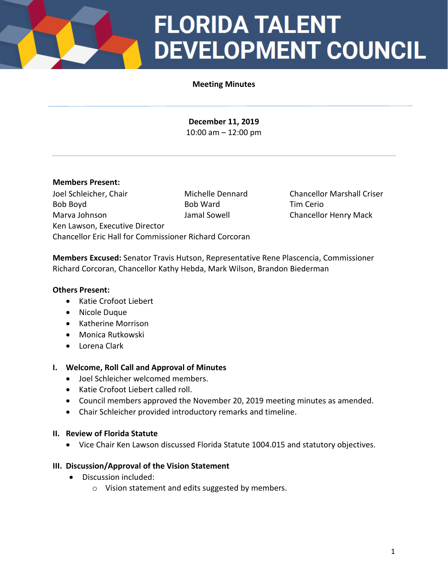# **FLORIDA TALENT DEVELOPMENT COUNCIL**

## **Meeting Minutes**

**December 11, 2019** 10:00 am – 12:00 pm

### **Members Present:**

Joel Schleicher, Chair Michelle Dennard Chancellor Marshall Criser Bob Boyd Bob Ward **Bob Ward** Tim Cerio Marva Johnson Jamal Sowell Chancellor Henry Mack Ken Lawson, Executive Director Chancellor Eric Hall for Commissioner Richard Corcoran

**Members Excused:** Senator Travis Hutson, Representative Rene Plascencia, Commissioner Richard Corcoran, Chancellor Kathy Hebda, Mark Wilson, Brandon Biederman

### **Others Present:**

- Katie Crofoot Liebert
- Nicole Duque
- Katherine Morrison
- Monica Rutkowski
- Lorena Clark

### **I. Welcome, Roll Call and Approval of Minutes**

- Joel Schleicher welcomed members.
- Katie Crofoot Liebert called roll.
- Council members approved the November 20, 2019 meeting minutes as amended.
- Chair Schleicher provided introductory remarks and timeline.

### **II. Review of Florida Statute**

• Vice Chair Ken Lawson discussed Florida Statute 1004.015 and statutory objectives.

### **III. Discussion/Approval of the Vision Statement**

- Discussion included:
	- o Vision statement and edits suggested by members.